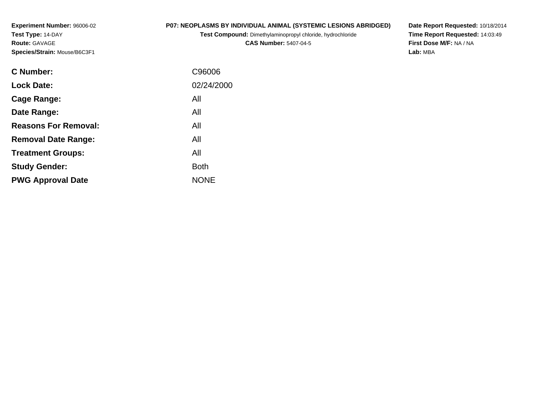**Experiment Number:** 96006-02**Test Type:** 14-DAY**Route:** GAVAGE**Species/Strain:** Mouse/B6C3F1

### **P07: NEOPLASMS BY INDIVIDUAL ANIMAL (SYSTEMIC LESIONS ABRIDGED)**

**Test Compound:** Dimethylaminopropyl chloride, hydrochloride

**CAS Number:** 5407-04-5

**Date Report Requested:** 10/18/2014 **Time Report Requested:** 14:03:49**First Dose M/F:** NA / NA**Lab:** MBA

| C Number:                   | C96006      |
|-----------------------------|-------------|
| <b>Lock Date:</b>           | 02/24/2000  |
| Cage Range:                 | All         |
| Date Range:                 | All         |
| <b>Reasons For Removal:</b> | All         |
| <b>Removal Date Range:</b>  | All         |
| <b>Treatment Groups:</b>    | All         |
| <b>Study Gender:</b>        | <b>Both</b> |
| <b>PWG Approval Date</b>    | <b>NONE</b> |
|                             |             |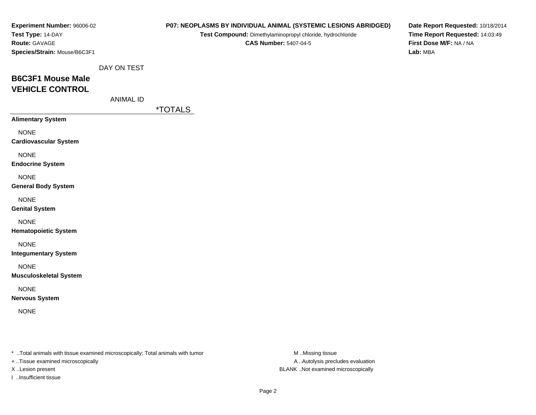| Experiment Number: 96006-02<br>Test Type: 14-DAY<br>Route: GAVAGE<br>Species/Strain: Mouse/B6C3F1 |                  |                       | P07: NEOPLASMS BY INDIVIDUAL ANIMAL (SYSTEMIC LESIONS ABRIDGED)<br>Test Compound: Dimethylaminopropyl chloride, hydrochloride<br><b>CAS Number: 5407-04-5</b> | Date Report Requested: 10/18/2014<br>Time Report Requested: 14:03:49<br>First Dose M/F: NA / NA<br>Lab: MBA |
|---------------------------------------------------------------------------------------------------|------------------|-----------------------|---------------------------------------------------------------------------------------------------------------------------------------------------------------|-------------------------------------------------------------------------------------------------------------|
|                                                                                                   | DAY ON TEST      |                       |                                                                                                                                                               |                                                                                                             |
| <b>B6C3F1 Mouse Male</b>                                                                          |                  |                       |                                                                                                                                                               |                                                                                                             |
| <b>VEHICLE CONTROL</b>                                                                            |                  |                       |                                                                                                                                                               |                                                                                                             |
|                                                                                                   | <b>ANIMAL ID</b> |                       |                                                                                                                                                               |                                                                                                             |
| <b>Alimentary System</b>                                                                          |                  | <i><b>*TOTALS</b></i> |                                                                                                                                                               |                                                                                                             |
|                                                                                                   |                  |                       |                                                                                                                                                               |                                                                                                             |
| <b>NONE</b><br><b>Cardiovascular System</b>                                                       |                  |                       |                                                                                                                                                               |                                                                                                             |
| <b>NONE</b><br><b>Endocrine System</b>                                                            |                  |                       |                                                                                                                                                               |                                                                                                             |
| <b>NONE</b><br><b>General Body System</b>                                                         |                  |                       |                                                                                                                                                               |                                                                                                             |
| <b>NONE</b><br><b>Genital System</b>                                                              |                  |                       |                                                                                                                                                               |                                                                                                             |
| <b>NONE</b><br><b>Hematopoietic System</b>                                                        |                  |                       |                                                                                                                                                               |                                                                                                             |
| <b>NONE</b><br><b>Integumentary System</b>                                                        |                  |                       |                                                                                                                                                               |                                                                                                             |
| <b>NONE</b><br><b>Musculoskeletal System</b>                                                      |                  |                       |                                                                                                                                                               |                                                                                                             |
| <b>NONE</b><br><b>Nervous System</b>                                                              |                  |                       |                                                                                                                                                               |                                                                                                             |
| <b>NONE</b>                                                                                       |                  |                       |                                                                                                                                                               |                                                                                                             |
|                                                                                                   |                  |                       |                                                                                                                                                               |                                                                                                             |
| * Total animals with tissue examined microscopically; Total animals with tumor                    |                  |                       | M Missing tissue                                                                                                                                              |                                                                                                             |

+ ..Tissue examined microscopically

I ..Insufficient tissue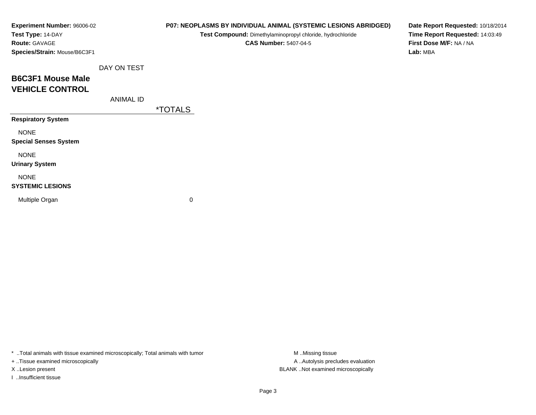| Experiment Number: 96006-02<br>Test Type: 14-DAY |                  | P07: NEOPLASMS BY INDIVIDUAL ANIMAL (SYSTEMIC LESIONS ABRIDGED)<br>Test Compound: Dimethylaminopropyl chloride, hydrochloride | Date Report Requested: 10/18/2014<br>Time Report Requested: 14:03:49 |
|--------------------------------------------------|------------------|-------------------------------------------------------------------------------------------------------------------------------|----------------------------------------------------------------------|
| Route: GAVAGE                                    |                  | <b>CAS Number: 5407-04-5</b>                                                                                                  | First Dose M/F: NA / NA                                              |
| Species/Strain: Mouse/B6C3F1                     |                  |                                                                                                                               | Lab: MBA                                                             |
|                                                  | DAY ON TEST      |                                                                                                                               |                                                                      |
| <b>B6C3F1 Mouse Male</b>                         |                  |                                                                                                                               |                                                                      |
| <b>VEHICLE CONTROL</b>                           |                  |                                                                                                                               |                                                                      |
|                                                  | <b>ANIMAL ID</b> |                                                                                                                               |                                                                      |
|                                                  |                  | <i><b>*TOTALS</b></i>                                                                                                         |                                                                      |
| <b>Respiratory System</b>                        |                  |                                                                                                                               |                                                                      |
| <b>NONE</b>                                      |                  |                                                                                                                               |                                                                      |
| <b>Special Senses System</b>                     |                  |                                                                                                                               |                                                                      |
| <b>NONE</b>                                      |                  |                                                                                                                               |                                                                      |
| <b>Urinary System</b>                            |                  |                                                                                                                               |                                                                      |
| <b>NONE</b>                                      |                  |                                                                                                                               |                                                                      |
| <b>SYSTEMIC LESIONS</b>                          |                  |                                                                                                                               |                                                                      |
| Multiple Organ                                   |                  | 0                                                                                                                             |                                                                      |
|                                                  |                  |                                                                                                                               |                                                                      |

+ ..Tissue examined microscopically

I ..Insufficient tissue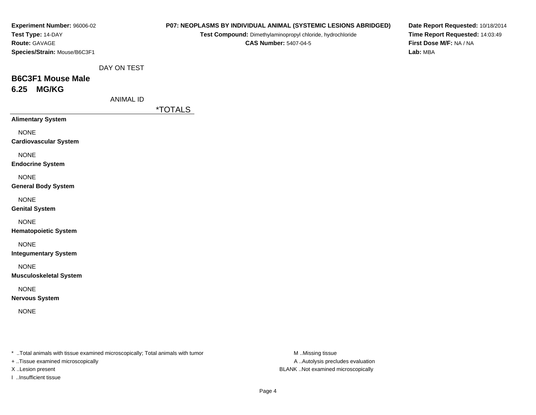| Experiment Number: 96006-02<br>Test Type: 14-DAY<br>Route: GAVAGE<br>Species/Strain: Mouse/B6C3F1                    | P07: NEOPLASMS BY INDIVIDUAL ANIMAL (SYSTEMIC LESIONS ABRIDGED)<br>Test Compound: Dimethylaminopropyl chloride, hydrochloride<br><b>CAS Number: 5407-04-5</b> | Date Report Requested: 10/18/2014<br>Time Report Requested: 14:03:49<br>First Dose M/F: NA / NA<br>Lab: MBA |
|----------------------------------------------------------------------------------------------------------------------|---------------------------------------------------------------------------------------------------------------------------------------------------------------|-------------------------------------------------------------------------------------------------------------|
| DAY ON TEST<br><b>B6C3F1 Mouse Male</b><br><b>MG/KG</b><br>6.25<br><b>ANIMAL ID</b>                                  |                                                                                                                                                               |                                                                                                             |
|                                                                                                                      | <i><b>*TOTALS</b></i>                                                                                                                                         |                                                                                                             |
| <b>Alimentary System</b>                                                                                             |                                                                                                                                                               |                                                                                                             |
| <b>NONE</b><br><b>Cardiovascular System</b>                                                                          |                                                                                                                                                               |                                                                                                             |
| <b>NONE</b><br><b>Endocrine System</b>                                                                               |                                                                                                                                                               |                                                                                                             |
| <b>NONE</b><br><b>General Body System</b>                                                                            |                                                                                                                                                               |                                                                                                             |
| <b>NONE</b><br><b>Genital System</b>                                                                                 |                                                                                                                                                               |                                                                                                             |
| <b>NONE</b><br><b>Hematopoietic System</b>                                                                           |                                                                                                                                                               |                                                                                                             |
| <b>NONE</b><br><b>Integumentary System</b>                                                                           |                                                                                                                                                               |                                                                                                             |
| <b>NONE</b><br><b>Musculoskeletal System</b>                                                                         |                                                                                                                                                               |                                                                                                             |
| <b>NONE</b><br><b>Nervous System</b>                                                                                 |                                                                                                                                                               |                                                                                                             |
| <b>NONE</b>                                                                                                          |                                                                                                                                                               |                                                                                                             |
| *  Total animals with tissue examined microscopically; Total animals with tumor<br>+ Tissue examined microscopically | M Missing tissue<br>A  Autolysis precludes evaluation                                                                                                         |                                                                                                             |

X ..Lesion present BLANK ..Not examined microscopically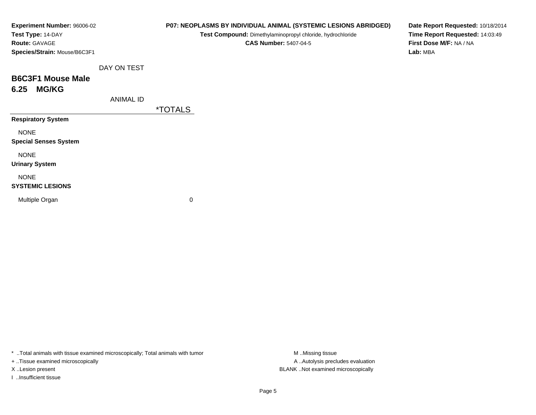| Experiment Number: 96006-02<br>Test Type: 14-DAY |                  |                       | P07: NEOPLASMS BY INDIVIDUAL ANIMAL (SYSTEMIC LESIONS ABRIDGED)<br>Test Compound: Dimethylaminopropyl chloride, hydrochloride | Date Report Requested: 10/18/2014<br>Time Report Requested: 14:03:49 |
|--------------------------------------------------|------------------|-----------------------|-------------------------------------------------------------------------------------------------------------------------------|----------------------------------------------------------------------|
| <b>Route: GAVAGE</b>                             |                  |                       | <b>CAS Number: 5407-04-5</b>                                                                                                  | First Dose M/F: NA / NA                                              |
| Species/Strain: Mouse/B6C3F1                     |                  |                       |                                                                                                                               | Lab: MBA                                                             |
|                                                  | DAY ON TEST      |                       |                                                                                                                               |                                                                      |
| <b>B6C3F1 Mouse Male</b>                         |                  |                       |                                                                                                                               |                                                                      |
| <b>MG/KG</b><br>6.25                             |                  |                       |                                                                                                                               |                                                                      |
|                                                  | <b>ANIMAL ID</b> |                       |                                                                                                                               |                                                                      |
|                                                  |                  | <i><b>*TOTALS</b></i> |                                                                                                                               |                                                                      |
| <b>Respiratory System</b>                        |                  |                       |                                                                                                                               |                                                                      |
| <b>NONE</b>                                      |                  |                       |                                                                                                                               |                                                                      |
| <b>Special Senses System</b>                     |                  |                       |                                                                                                                               |                                                                      |
| <b>NONE</b>                                      |                  |                       |                                                                                                                               |                                                                      |
| <b>Urinary System</b>                            |                  |                       |                                                                                                                               |                                                                      |
| <b>NONE</b>                                      |                  |                       |                                                                                                                               |                                                                      |
| <b>SYSTEMIC LESIONS</b>                          |                  |                       |                                                                                                                               |                                                                      |
| Multiple Organ                                   |                  | 0                     |                                                                                                                               |                                                                      |
|                                                  |                  |                       |                                                                                                                               |                                                                      |

+ ..Tissue examined microscopically

I ..Insufficient tissue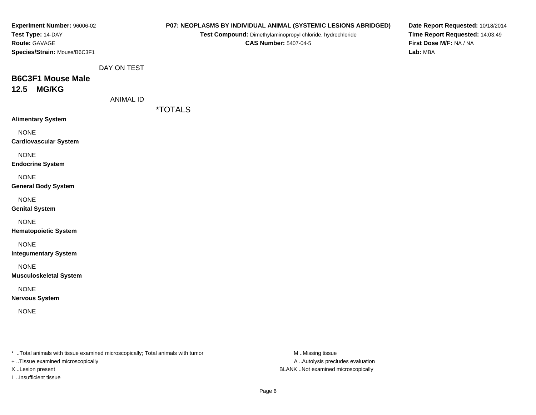| Experiment Number: 96006-02<br>Test Type: 14-DAY<br>Route: GAVAGE<br>Species/Strain: Mouse/B6C3F1                    | P07: NEOPLASMS BY INDIVIDUAL ANIMAL (SYSTEMIC LESIONS ABRIDGED)<br>Test Compound: Dimethylaminopropyl chloride, hydrochloride<br><b>CAS Number: 5407-04-5</b> | Date Report Requested: 10/18/2014<br>Time Report Requested: 14:03:49<br>First Dose M/F: NA / NA<br>Lab: MBA |
|----------------------------------------------------------------------------------------------------------------------|---------------------------------------------------------------------------------------------------------------------------------------------------------------|-------------------------------------------------------------------------------------------------------------|
| DAY ON TEST<br><b>B6C3F1 Mouse Male</b><br>12.5 MG/KG<br><b>ANIMAL ID</b>                                            |                                                                                                                                                               |                                                                                                             |
|                                                                                                                      | <i><b>*TOTALS</b></i>                                                                                                                                         |                                                                                                             |
| <b>Alimentary System</b>                                                                                             |                                                                                                                                                               |                                                                                                             |
| <b>NONE</b><br><b>Cardiovascular System</b>                                                                          |                                                                                                                                                               |                                                                                                             |
| <b>NONE</b><br><b>Endocrine System</b>                                                                               |                                                                                                                                                               |                                                                                                             |
| <b>NONE</b><br><b>General Body System</b>                                                                            |                                                                                                                                                               |                                                                                                             |
| <b>NONE</b><br><b>Genital System</b>                                                                                 |                                                                                                                                                               |                                                                                                             |
| <b>NONE</b><br><b>Hematopoietic System</b>                                                                           |                                                                                                                                                               |                                                                                                             |
| <b>NONE</b><br><b>Integumentary System</b>                                                                           |                                                                                                                                                               |                                                                                                             |
| <b>NONE</b><br><b>Musculoskeletal System</b>                                                                         |                                                                                                                                                               |                                                                                                             |
| <b>NONE</b><br><b>Nervous System</b>                                                                                 |                                                                                                                                                               |                                                                                                             |
| <b>NONE</b>                                                                                                          |                                                                                                                                                               |                                                                                                             |
| *  Total animals with tissue examined microscopically; Total animals with tumor<br>+ Tissue examined microscopically | M Missing tissue<br>A  Autolysis precludes evaluation                                                                                                         |                                                                                                             |

X ..Lesion present BLANK ..Not examined microscopically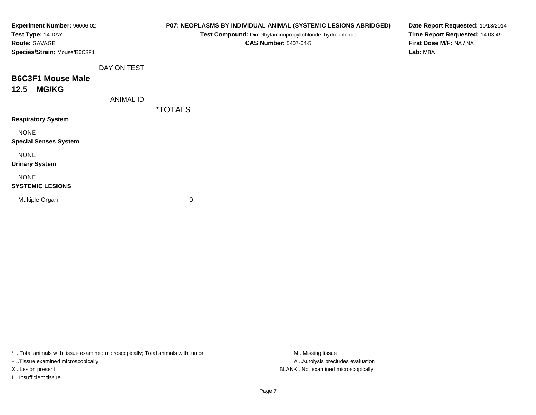| Experiment Number: 96006-02  |                  |                       | P07: NEOPLASMS BY INDIVIDUAL ANIMAL (SYSTEMIC LESIONS ABRIDGED) | Date Report Requested: 10/18/2014 |
|------------------------------|------------------|-----------------------|-----------------------------------------------------------------|-----------------------------------|
| Test Type: 14-DAY            |                  |                       | Test Compound: Dimethylaminopropyl chloride, hydrochloride      | Time Report Requested: 14:03:49   |
| Route: GAVAGE                |                  |                       | <b>CAS Number: 5407-04-5</b>                                    | First Dose M/F: NA / NA           |
| Species/Strain: Mouse/B6C3F1 |                  |                       |                                                                 | Lab: MBA                          |
|                              | DAY ON TEST      |                       |                                                                 |                                   |
| <b>B6C3F1 Mouse Male</b>     |                  |                       |                                                                 |                                   |
| <b>MG/KG</b><br>12.5         |                  |                       |                                                                 |                                   |
|                              | <b>ANIMAL ID</b> |                       |                                                                 |                                   |
|                              |                  | <i><b>*TOTALS</b></i> |                                                                 |                                   |
| <b>Respiratory System</b>    |                  |                       |                                                                 |                                   |
| <b>NONE</b>                  |                  |                       |                                                                 |                                   |
| <b>Special Senses System</b> |                  |                       |                                                                 |                                   |
| <b>NONE</b>                  |                  |                       |                                                                 |                                   |
| <b>Urinary System</b>        |                  |                       |                                                                 |                                   |
| <b>NONE</b>                  |                  |                       |                                                                 |                                   |
| <b>SYSTEMIC LESIONS</b>      |                  |                       |                                                                 |                                   |
| Multiple Organ               |                  | 0                     |                                                                 |                                   |
|                              |                  |                       |                                                                 |                                   |

+ ..Tissue examined microscopically

I ..Insufficient tissue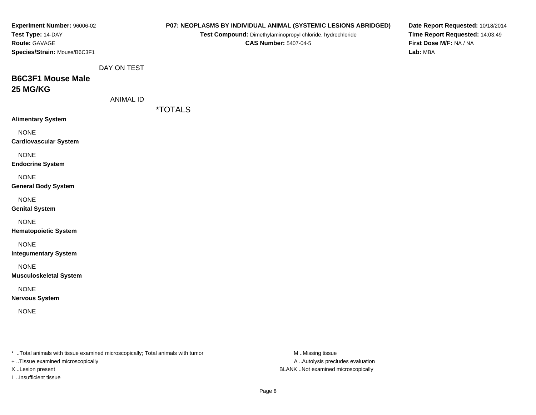| <b>Experiment Number: 96006-02</b>                                              |                  |                       | P07: NEOPLASMS BY INDIVIDUAL ANIMAL (SYSTEMIC LESIONS ABRIDGED) | Date Report Requested: 10/18/2014 |
|---------------------------------------------------------------------------------|------------------|-----------------------|-----------------------------------------------------------------|-----------------------------------|
| Test Type: 14-DAY                                                               |                  |                       | Test Compound: Dimethylaminopropyl chloride, hydrochloride      | Time Report Requested: 14:03:49   |
| Route: GAVAGE                                                                   |                  |                       | <b>CAS Number: 5407-04-5</b>                                    | First Dose M/F: NA / NA           |
| Species/Strain: Mouse/B6C3F1                                                    |                  |                       |                                                                 | Lab: MBA                          |
|                                                                                 | DAY ON TEST      |                       |                                                                 |                                   |
| <b>B6C3F1 Mouse Male</b>                                                        |                  |                       |                                                                 |                                   |
| 25 MG/KG                                                                        |                  |                       |                                                                 |                                   |
|                                                                                 | <b>ANIMAL ID</b> |                       |                                                                 |                                   |
|                                                                                 |                  | <i><b>*TOTALS</b></i> |                                                                 |                                   |
| <b>Alimentary System</b>                                                        |                  |                       |                                                                 |                                   |
|                                                                                 |                  |                       |                                                                 |                                   |
| <b>NONE</b>                                                                     |                  |                       |                                                                 |                                   |
| <b>Cardiovascular System</b>                                                    |                  |                       |                                                                 |                                   |
| <b>NONE</b>                                                                     |                  |                       |                                                                 |                                   |
| <b>Endocrine System</b>                                                         |                  |                       |                                                                 |                                   |
| <b>NONE</b>                                                                     |                  |                       |                                                                 |                                   |
| <b>General Body System</b>                                                      |                  |                       |                                                                 |                                   |
|                                                                                 |                  |                       |                                                                 |                                   |
| <b>NONE</b>                                                                     |                  |                       |                                                                 |                                   |
| <b>Genital System</b>                                                           |                  |                       |                                                                 |                                   |
| <b>NONE</b>                                                                     |                  |                       |                                                                 |                                   |
| <b>Hematopoietic System</b>                                                     |                  |                       |                                                                 |                                   |
| <b>NONE</b>                                                                     |                  |                       |                                                                 |                                   |
| <b>Integumentary System</b>                                                     |                  |                       |                                                                 |                                   |
|                                                                                 |                  |                       |                                                                 |                                   |
| <b>NONE</b>                                                                     |                  |                       |                                                                 |                                   |
| <b>Musculoskeletal System</b>                                                   |                  |                       |                                                                 |                                   |
| <b>NONE</b>                                                                     |                  |                       |                                                                 |                                   |
| <b>Nervous System</b>                                                           |                  |                       |                                                                 |                                   |
| <b>NONE</b>                                                                     |                  |                       |                                                                 |                                   |
|                                                                                 |                  |                       |                                                                 |                                   |
|                                                                                 |                  |                       |                                                                 |                                   |
|                                                                                 |                  |                       |                                                                 |                                   |
| *  Total animals with tissue examined microscopically; Total animals with tumor |                  |                       | M Missing tissue                                                |                                   |
| + Tissue examined microscopically                                               |                  |                       | A  Autolysis precludes evaluation                               |                                   |
| X Lesion present                                                                |                  |                       | BLANK Not examined microscopically                              |                                   |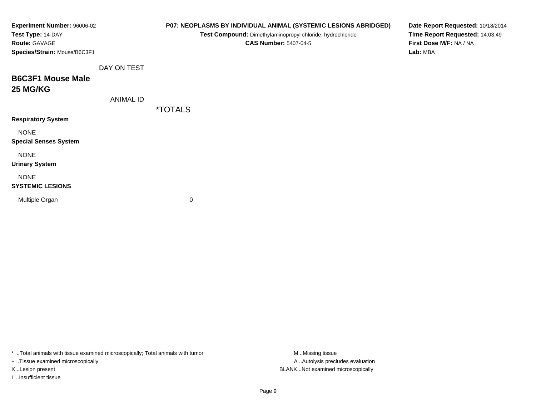| Experiment Number: 96006-02<br>Test Type: 14-DAY<br>Route: GAVAGE |                  |                       | P07: NEOPLASMS BY INDIVIDUAL ANIMAL (SYSTEMIC LESIONS ABRIDGED)<br>Test Compound: Dimethylaminopropyl chloride, hydrochloride<br><b>CAS Number: 5407-04-5</b> | Date Report Requested: 10/18/2014<br>Time Report Requested: 14:03:49<br>First Dose M/F: NA / NA |
|-------------------------------------------------------------------|------------------|-----------------------|---------------------------------------------------------------------------------------------------------------------------------------------------------------|-------------------------------------------------------------------------------------------------|
| Species/Strain: Mouse/B6C3F1                                      |                  |                       |                                                                                                                                                               | Lab: MBA                                                                                        |
|                                                                   | DAY ON TEST      |                       |                                                                                                                                                               |                                                                                                 |
| <b>B6C3F1 Mouse Male</b>                                          |                  |                       |                                                                                                                                                               |                                                                                                 |
| <b>25 MG/KG</b>                                                   |                  |                       |                                                                                                                                                               |                                                                                                 |
|                                                                   | <b>ANIMAL ID</b> |                       |                                                                                                                                                               |                                                                                                 |
|                                                                   |                  | <i><b>*TOTALS</b></i> |                                                                                                                                                               |                                                                                                 |
| <b>Respiratory System</b>                                         |                  |                       |                                                                                                                                                               |                                                                                                 |
| <b>NONE</b>                                                       |                  |                       |                                                                                                                                                               |                                                                                                 |
| <b>Special Senses System</b>                                      |                  |                       |                                                                                                                                                               |                                                                                                 |
| <b>NONE</b>                                                       |                  |                       |                                                                                                                                                               |                                                                                                 |
| <b>Urinary System</b>                                             |                  |                       |                                                                                                                                                               |                                                                                                 |
| <b>NONE</b>                                                       |                  |                       |                                                                                                                                                               |                                                                                                 |
| <b>SYSTEMIC LESIONS</b>                                           |                  |                       |                                                                                                                                                               |                                                                                                 |
| Multiple Organ                                                    |                  | 0                     |                                                                                                                                                               |                                                                                                 |
|                                                                   |                  |                       |                                                                                                                                                               |                                                                                                 |
|                                                                   |                  |                       |                                                                                                                                                               |                                                                                                 |

+ ..Tissue examined microscopically

I ..Insufficient tissue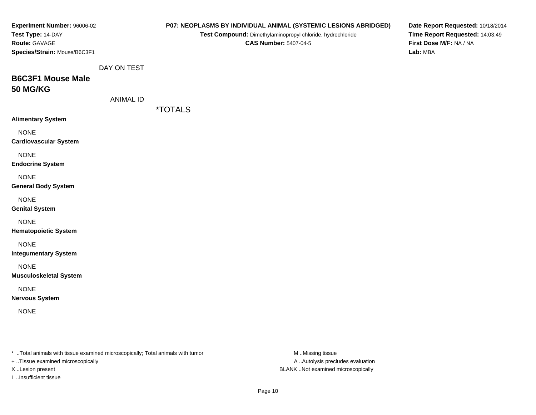| Experiment Number: 96006-02<br>Test Type: 14-DAY<br><b>Route: GAVAGE</b><br>Species/Strain: Mouse/B6C3F1 |                  |                       | <b>CAS Number: 5407-04-5</b> | P07: NEOPLASMS BY INDIVIDUAL ANIMAL (SYSTEMIC LESIONS ABRIDGED)<br>Test Compound: Dimethylaminopropyl chloride, hydrochloride | First Dose M/F: NA / NA<br>Lab: MBA | Date Report Requested: 10/18/2014<br>Time Report Requested: 14:03:49 |
|----------------------------------------------------------------------------------------------------------|------------------|-----------------------|------------------------------|-------------------------------------------------------------------------------------------------------------------------------|-------------------------------------|----------------------------------------------------------------------|
|                                                                                                          | DAY ON TEST      |                       |                              |                                                                                                                               |                                     |                                                                      |
| <b>B6C3F1 Mouse Male</b><br><b>50 MG/KG</b>                                                              |                  |                       |                              |                                                                                                                               |                                     |                                                                      |
|                                                                                                          | <b>ANIMAL ID</b> |                       |                              |                                                                                                                               |                                     |                                                                      |
|                                                                                                          |                  | <i><b>*TOTALS</b></i> |                              |                                                                                                                               |                                     |                                                                      |
| <b>Alimentary System</b>                                                                                 |                  |                       |                              |                                                                                                                               |                                     |                                                                      |
| <b>NONE</b><br><b>Cardiovascular System</b>                                                              |                  |                       |                              |                                                                                                                               |                                     |                                                                      |
| <b>NONE</b><br><b>Endocrine System</b>                                                                   |                  |                       |                              |                                                                                                                               |                                     |                                                                      |
| <b>NONE</b><br><b>General Body System</b>                                                                |                  |                       |                              |                                                                                                                               |                                     |                                                                      |
| <b>NONE</b><br><b>Genital System</b>                                                                     |                  |                       |                              |                                                                                                                               |                                     |                                                                      |
| <b>NONE</b><br><b>Hematopoietic System</b>                                                               |                  |                       |                              |                                                                                                                               |                                     |                                                                      |
| <b>NONE</b><br><b>Integumentary System</b>                                                               |                  |                       |                              |                                                                                                                               |                                     |                                                                      |
| <b>NONE</b><br><b>Musculoskeletal System</b>                                                             |                  |                       |                              |                                                                                                                               |                                     |                                                                      |
| <b>NONE</b><br><b>Nervous System</b>                                                                     |                  |                       |                              |                                                                                                                               |                                     |                                                                      |
| <b>NONE</b>                                                                                              |                  |                       |                              |                                                                                                                               |                                     |                                                                      |
|                                                                                                          |                  |                       |                              |                                                                                                                               |                                     |                                                                      |
| *  Total animals with tissue examined microscopically; Total animals with tumor                          |                  |                       |                              | M Missing tissue                                                                                                              |                                     |                                                                      |
| + Tissue examined microscopically<br>X Lesion present                                                    |                  |                       |                              | A  Autolysis precludes evaluation<br>BLANK Not examined microscopically                                                       |                                     |                                                                      |
|                                                                                                          |                  |                       |                              |                                                                                                                               |                                     |                                                                      |

I ..Insufficient tissue

Page 10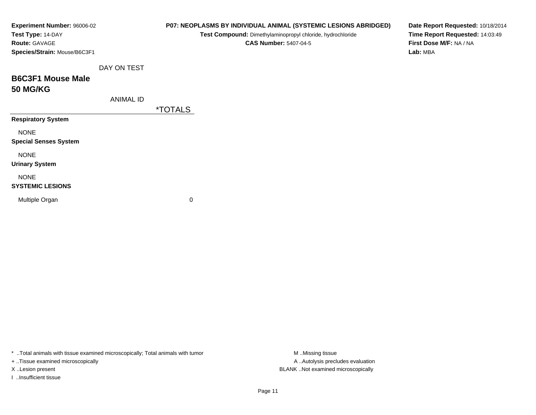| Experiment Number: 96006-02<br>Test Type: 14-DAY<br>Route: GAVAGE<br>Species/Strain: Mouse/B6C3F1 |                  |                       | P07: NEOPLASMS BY INDIVIDUAL ANIMAL (SYSTEMIC LESIONS ABRIDGED)<br>Test Compound: Dimethylaminopropyl chloride, hydrochloride<br><b>CAS Number: 5407-04-5</b> | Date Report Requested: 10/18/2014<br>Time Report Requested: 14:03:49<br>First Dose M/F: NA / NA<br>Lab: MBA |
|---------------------------------------------------------------------------------------------------|------------------|-----------------------|---------------------------------------------------------------------------------------------------------------------------------------------------------------|-------------------------------------------------------------------------------------------------------------|
|                                                                                                   | DAY ON TEST      |                       |                                                                                                                                                               |                                                                                                             |
| <b>B6C3F1 Mouse Male</b><br><b>50 MG/KG</b>                                                       |                  |                       |                                                                                                                                                               |                                                                                                             |
|                                                                                                   | <b>ANIMAL ID</b> |                       |                                                                                                                                                               |                                                                                                             |
|                                                                                                   |                  | <i><b>*TOTALS</b></i> |                                                                                                                                                               |                                                                                                             |
| <b>Respiratory System</b>                                                                         |                  |                       |                                                                                                                                                               |                                                                                                             |
| <b>NONE</b><br><b>Special Senses System</b>                                                       |                  |                       |                                                                                                                                                               |                                                                                                             |
| <b>NONE</b><br><b>Urinary System</b>                                                              |                  |                       |                                                                                                                                                               |                                                                                                             |
| <b>NONE</b><br><b>SYSTEMIC LESIONS</b>                                                            |                  |                       |                                                                                                                                                               |                                                                                                             |
| Multiple Organ                                                                                    |                  | 0                     |                                                                                                                                                               |                                                                                                             |

+ ..Tissue examined microscopically

I ..Insufficient tissue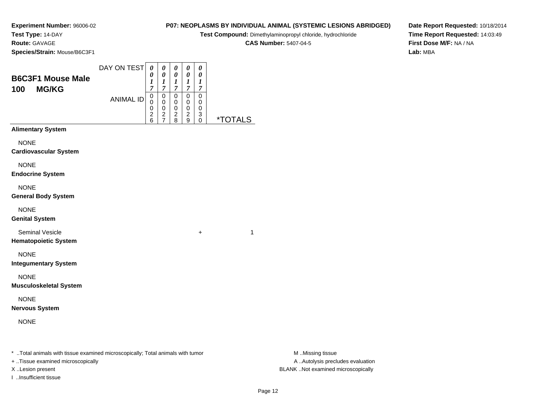**Experiment Number:** 96006-02**Test Type:** 14-DAY

### **Route:** GAVAGE

**Species/Strain:** Mouse/B6C3F1

#### DAY ON TEST**B6C3F1 Mouse Male100 MG/KG**ANIMAL ID*0 0 1 7* 0 0 0 2 6*0 0 1 7*0<br>0<br>0<br>2<br>7 *0 0 1 7* 0 0 0 2 8*0 0 1 7* 0 0 0 2 9*0 0 1 7* 0 0 0 3 0 \*TOTALS**Alimentary SystemNONE Cardiovascular System**NONE **Endocrine System**NONE **General Body System**NONE **Genital System**Seminal Vesicle $e$  +  $+$  1 **Hematopoietic System**NONE **Integumentary System**NONE **Musculoskeletal System**NONE**Nervous System**

### NONE

\* ..Total animals with tissue examined microscopically; Total animals with tumor **M** ..Missing tissue M ..Missing tissue

+ ..Tissue examined microscopically

X ..Lesion present BLANK ..Not examined microscopically

I ..Insufficient tissue

**P07: NEOPLASMS BY INDIVIDUAL ANIMAL (SYSTEMIC LESIONS ABRIDGED)**

**Test Compound:** Dimethylaminopropyl chloride, hydrochloride

**CAS Number:** 5407-04-5

**Date Report Requested:** 10/18/2014**Time Report Requested:** 14:03:49**First Dose M/F:** NA / NA**Lab:** MBA

A ..Autolysis precludes evaluation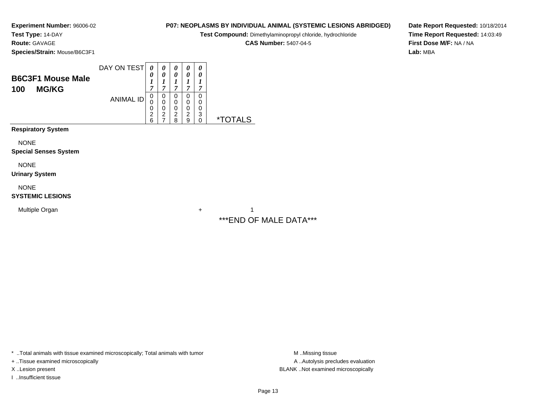**Experiment Number:** 96006-02**Test Type:** 14-DAY

**Route:** GAVAGE

**Species/Strain:** Mouse/B6C3F1

## **P07: NEOPLASMS BY INDIVIDUAL ANIMAL (SYSTEMIC LESIONS ABRIDGED)**

**Test Compound:** Dimethylaminopropyl chloride, hydrochloride

**CAS Number:** 5407-04-5

**Date Report Requested:** 10/18/2014**Time Report Requested:** 14:03:49**First Dose M/F:** NA / NA**Lab:** MBA

| <b>B6C3F1 Mouse Male</b><br><b>MG/KG</b><br>100 | DAY ON TEST      | 0<br>U<br>1<br>$\overline{7}$      | 0<br>0<br>1<br>7                   | 0<br>0<br>1<br>7                   | 0<br>0<br>1<br>$\overline{7}$      | 0<br>0<br>1<br>7                |                       |
|-------------------------------------------------|------------------|------------------------------------|------------------------------------|------------------------------------|------------------------------------|---------------------------------|-----------------------|
|                                                 | <b>ANIMAL ID</b> | 0<br>0<br>0<br>$\overline{2}$<br>6 | 0<br>0<br>0<br>$\overline{c}$<br>7 | 0<br>0<br>0<br>$\overline{c}$<br>8 | 0<br>0<br>0<br>$\overline{2}$<br>9 | 0<br>0<br>$\mathbf 0$<br>3<br>0 | <i><b>*TOTALS</b></i> |
| <b>Respiratory System</b>                       |                  |                                    |                                    |                                    |                                    |                                 |                       |
| <b>NONE</b><br><b>Special Senses System</b>     |                  |                                    |                                    |                                    |                                    |                                 |                       |
| <b>NONE</b><br><b>Urinary System</b>            |                  |                                    |                                    |                                    |                                    |                                 |                       |
| <b>NONE</b><br><b>SYSTEMIC LESIONS</b>          |                  |                                    |                                    |                                    |                                    |                                 |                       |
| Multiple Organ                                  |                  |                                    |                                    |                                    |                                    | $\ddot{}$                       | 1                     |

\*\*\*END OF MALE DATA\*\*\*

\* ..Total animals with tissue examined microscopically; Total animals with tumor **M** . Missing tissue M ..Missing tissue

+ ..Tissue examined microscopically

I ..Insufficient tissue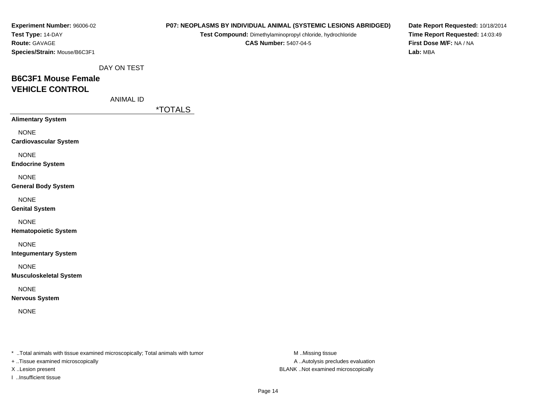| Experiment Number: 96006-02  |
|------------------------------|
| Test Type: 14-DAY            |
| <b>Route: GAVAGE</b>         |
| Species/Strain: Mouse/B6C3F1 |

**Test Compound:** Dimethylaminopropyl chloride, hydrochloride**CAS Number:** 5407-04-5

**Date Report Requested:** 10/18/2014**Time Report Requested:** 14:03:49**First Dose M/F:** NA / NA**Lab:** MBA

DAY ON TEST

# **B6C3F1 Mouse FemaleVEHICLE CONTROL**

ANIMAL ID

\*TOTALS

| <b>Alimentary System</b>             |
|--------------------------------------|
| NONF<br><b>Cardiovascular System</b> |
| NONF<br><b>Endocrine System</b>      |
| NONF<br><b>General Body System</b>   |
| NONE<br><b>Genital System</b>        |
| NONF<br><b>Hematopoietic System</b>  |

NONE

**Integumentary System**

NONE

**Musculoskeletal System**

### NONE

**Nervous System**

NONE

\* ..Total animals with tissue examined microscopically; Total animals with tumor **M** ...Missing tissue M ...Missing tissue

+ ..Tissue examined microscopically

I ..Insufficient tissue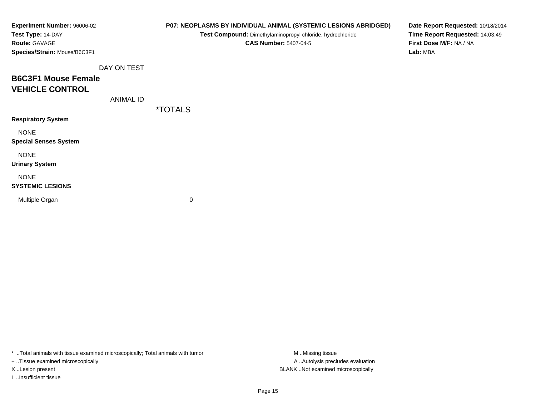| Experiment Number: 96006-02  |
|------------------------------|
| Test Type: 14-DAY            |
| <b>Route: GAVAGE</b>         |
| Species/Strain: Mouse/B6C3F1 |

**Test Compound:** Dimethylaminopropyl chloride, hydrochloride**CAS Number:** 5407-04-5

**Date Report Requested:** 10/18/2014**Time Report Requested:** 14:03:49**First Dose M/F:** NA / NA**Lab:** MBA

DAY ON TEST

## **B6C3F1 Mouse FemaleVEHICLE CONTROL**

ANIMAL ID

\*TOTALS

**Respiratory System**

NONE

**Special Senses System**

NONE

**Urinary System**

NONE

#### **SYSTEMIC LESIONS**

Multiple Organ

 $\mathbf n$  0

\* ..Total animals with tissue examined microscopically; Total animals with tumor **M** ...Missing tissue M ...Missing tissue

+ ..Tissue examined microscopically

I ..Insufficient tissue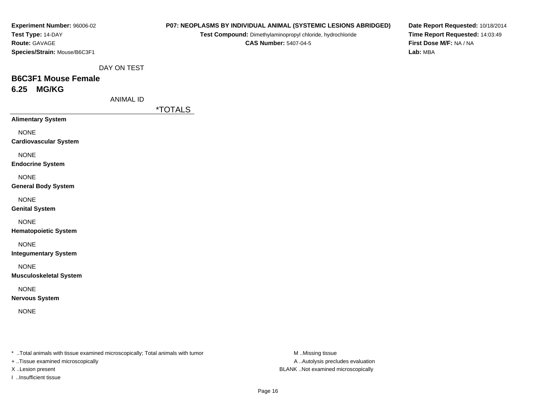| Experiment Number: 96006-02  |
|------------------------------|
| Test Type: 14-DAY            |
| <b>Route:</b> GAVAGE         |
| Species/Strain: Mouse/B6C3F1 |

**Test Compound:** Dimethylaminopropyl chloride, hydrochloride**CAS Number:** 5407-04-5

**Date Report Requested:** 10/18/2014**Time Report Requested:** 14:03:49**First Dose M/F:** NA / NA**Lab:** MBA

DAY ON TEST

### **B6C3F1 Mouse Female6.25 MG/KG**

ANIMAL ID

\*TOTALS

**Alimentary System**

NONE

**Cardiovascular System**

NONE

**Endocrine System**

NONE

**General Body System**

NONE

**Genital System**

NONE

**Hematopoietic System**

NONE

**Integumentary System**

NONE

**Musculoskeletal System**

NONE

**Nervous System**

NONE

\* ..Total animals with tissue examined microscopically; Total animals with tumor **M** ..Missing tissue M ..Missing tissue

+ ..Tissue examined microscopically

I ..Insufficient tissue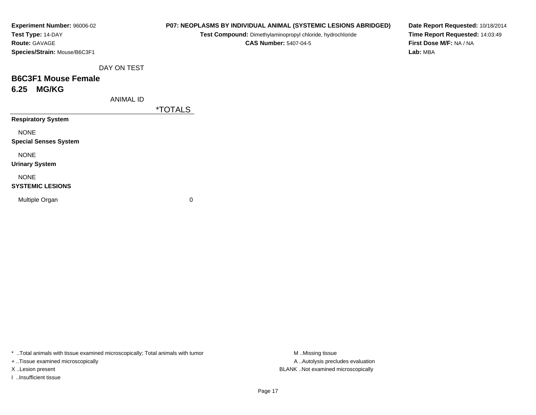| Experiment Number: 96006-02  | P07: NEOPLASMS BY INDIVIDUAL ANIMAL (SYSTEMIC LESIONS ABRIDGED) |  |  |  |  |
|------------------------------|-----------------------------------------------------------------|--|--|--|--|
| Test Type: 14-DAY            | Test Compound: Dimethylaminopropyl chloride, hydrochloride      |  |  |  |  |
| <b>Route: GAVAGE</b>         | <b>CAS Number: 5407-04-5</b>                                    |  |  |  |  |
| Species/Strain: Mouse/B6C3F1 |                                                                 |  |  |  |  |
| DAY ON TEST                  |                                                                 |  |  |  |  |
| <b>B6C3F1 Mouse Female</b>   |                                                                 |  |  |  |  |
| <b>MG/KG</b><br>6.25         |                                                                 |  |  |  |  |
| <b>ANIMAL ID</b>             |                                                                 |  |  |  |  |
|                              | <i><b>*TOTALS</b></i>                                           |  |  |  |  |
| <b>Respiratory System</b>    |                                                                 |  |  |  |  |
| <b>NONE</b>                  |                                                                 |  |  |  |  |
| <b>Special Senses System</b> |                                                                 |  |  |  |  |
| <b>NONE</b>                  |                                                                 |  |  |  |  |
| <b>Urinary System</b>        |                                                                 |  |  |  |  |
| <b>NONE</b>                  |                                                                 |  |  |  |  |
| <b>SYSTEMIC LESIONS</b>      |                                                                 |  |  |  |  |
| Multiple Organ               | 0                                                               |  |  |  |  |

+ ..Tissue examined microscopically

I ..Insufficient tissue

A ..Autolysis precludes evaluation X ..Lesion present BLANK ..Not examined microscopically

**Date Report Requested:** 10/18/2014**Time Report Requested:** 14:03:49**First Dose M/F:** NA / NA**Lab:** MBA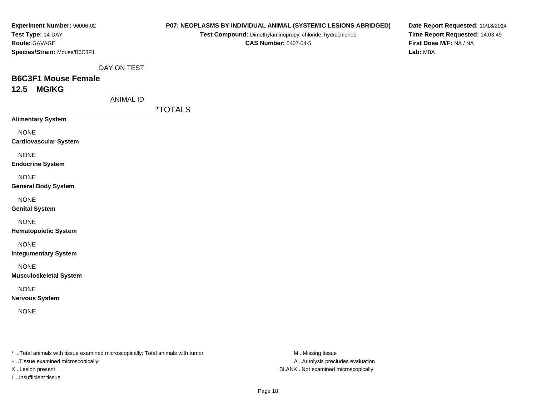| Experiment Number: 96006-02  |
|------------------------------|
| Test Type: 14-DAY            |
| <b>Route: GAVAGE</b>         |
| Species/Strain: Mouse/B6C3F1 |

**Test Compound:** Dimethylaminopropyl chloride, hydrochloride**CAS Number:** 5407-04-5

**Date Report Requested:** 10/18/2014**Time Report Requested:** 14:03:49**First Dose M/F:** NA / NA**Lab:** MBA

DAY ON TEST

### **B6C3F1 Mouse Female12.5 MG/KG**

ANIMAL ID

\*TOTALS

**Alimentary System**

NONE

**Cardiovascular System**

NONE

**Endocrine System**

NONE

**General Body System**

NONE

**Genital System**

NONE

**Hematopoietic System**

NONE

**Integumentary System**

NONE

**Musculoskeletal System**

NONE

**Nervous System**

NONE

\* ..Total animals with tissue examined microscopically; Total animals with tumor **M** ..Missing tissue M ..Missing tissue

+ ..Tissue examined microscopically

I ..Insufficient tissue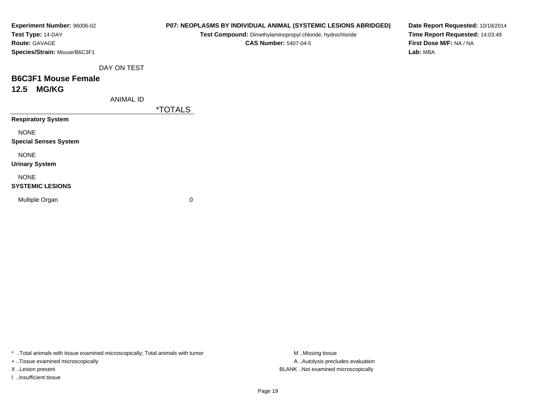| <b>Experiment Number: 96006-02</b> |             | <b>P07: NEOPLASMS</b> |
|------------------------------------|-------------|-----------------------|
| Test Type: 14-DAY                  |             | <b>Test Co</b>        |
| <b>Route: GAVAGE</b>               |             |                       |
| Species/Strain: Mouse/B6C3F1       |             |                       |
|                                    | DAY ON TEST |                       |
| <b>B6C3F1 Mouse Female</b>         |             |                       |
| 12.5 MG/KG                         |             |                       |
|                                    | ANIMAL ID   |                       |
|                                    |             | <i><b>*TOTALS</b></i> |
| <b>Respiratory System</b>          |             |                       |
| <b>NONE</b>                        |             |                       |

**Special Senses System**

NONE

**Urinary System**

NONE

#### **SYSTEMIC LESIONS**

Multiple Organ

 $\mathbf n$  0

\* ..Total animals with tissue examined microscopically; Total animals with tumor **M** . Missing tissue M ..Missing tissue

+ ..Tissue examined microscopically

I ..Insufficient tissue

**BY INDIVIDUAL ANIMAL (SYSTEMIC LESIONS ABRIDGED)** 

**ompound:** Dimethylaminopropyl chloride, hydrochloride

**CAS Number:** 5407-04-5

**Date Report Requested:** 10/18/2014**Time Report Requested:** 14:03:49**First Dose M/F:** NA / NA**Lab:** MBA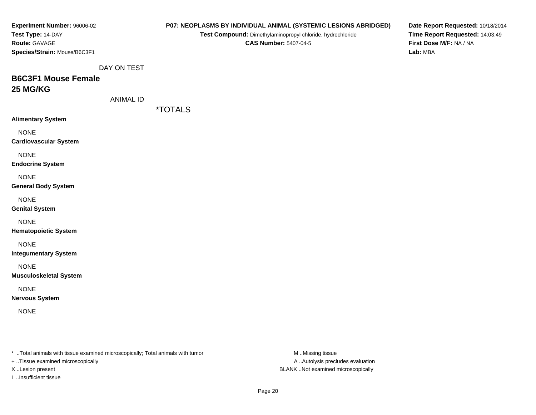| Experiment Number: 96006-02                                                    |                  |                       |                                                            |                              | P07: NEOPLASMS BY INDIVIDUAL ANIMAL (SYSTEMIC LESIONS ABRIDGED) | Date Report Requested: 10/18/2014 |
|--------------------------------------------------------------------------------|------------------|-----------------------|------------------------------------------------------------|------------------------------|-----------------------------------------------------------------|-----------------------------------|
| Test Type: 14-DAY                                                              |                  |                       | Test Compound: Dimethylaminopropyl chloride, hydrochloride |                              |                                                                 | Time Report Requested: 14:03:49   |
| Route: GAVAGE                                                                  |                  |                       |                                                            | <b>CAS Number: 5407-04-5</b> |                                                                 | First Dose M/F: NA / NA           |
| Species/Strain: Mouse/B6C3F1                                                   |                  |                       |                                                            |                              |                                                                 | Lab: MBA                          |
|                                                                                |                  |                       |                                                            |                              |                                                                 |                                   |
|                                                                                | DAY ON TEST      |                       |                                                            |                              |                                                                 |                                   |
| <b>B6C3F1 Mouse Female</b>                                                     |                  |                       |                                                            |                              |                                                                 |                                   |
| 25 MG/KG                                                                       |                  |                       |                                                            |                              |                                                                 |                                   |
|                                                                                | <b>ANIMAL ID</b> |                       |                                                            |                              |                                                                 |                                   |
|                                                                                |                  | <i><b>*TOTALS</b></i> |                                                            |                              |                                                                 |                                   |
| <b>Alimentary System</b>                                                       |                  |                       |                                                            |                              |                                                                 |                                   |
|                                                                                |                  |                       |                                                            |                              |                                                                 |                                   |
| <b>NONE</b>                                                                    |                  |                       |                                                            |                              |                                                                 |                                   |
| <b>Cardiovascular System</b>                                                   |                  |                       |                                                            |                              |                                                                 |                                   |
| <b>NONE</b>                                                                    |                  |                       |                                                            |                              |                                                                 |                                   |
| <b>Endocrine System</b>                                                        |                  |                       |                                                            |                              |                                                                 |                                   |
| <b>NONE</b>                                                                    |                  |                       |                                                            |                              |                                                                 |                                   |
| <b>General Body System</b>                                                     |                  |                       |                                                            |                              |                                                                 |                                   |
|                                                                                |                  |                       |                                                            |                              |                                                                 |                                   |
| <b>NONE</b>                                                                    |                  |                       |                                                            |                              |                                                                 |                                   |
| <b>Genital System</b>                                                          |                  |                       |                                                            |                              |                                                                 |                                   |
| <b>NONE</b>                                                                    |                  |                       |                                                            |                              |                                                                 |                                   |
| <b>Hematopoietic System</b>                                                    |                  |                       |                                                            |                              |                                                                 |                                   |
|                                                                                |                  |                       |                                                            |                              |                                                                 |                                   |
| <b>NONE</b>                                                                    |                  |                       |                                                            |                              |                                                                 |                                   |
| <b>Integumentary System</b>                                                    |                  |                       |                                                            |                              |                                                                 |                                   |
| <b>NONE</b>                                                                    |                  |                       |                                                            |                              |                                                                 |                                   |
| <b>Musculoskeletal System</b>                                                  |                  |                       |                                                            |                              |                                                                 |                                   |
|                                                                                |                  |                       |                                                            |                              |                                                                 |                                   |
| <b>NONE</b>                                                                    |                  |                       |                                                            |                              |                                                                 |                                   |
| <b>Nervous System</b>                                                          |                  |                       |                                                            |                              |                                                                 |                                   |
| <b>NONE</b>                                                                    |                  |                       |                                                            |                              |                                                                 |                                   |
|                                                                                |                  |                       |                                                            |                              |                                                                 |                                   |
|                                                                                |                  |                       |                                                            |                              |                                                                 |                                   |
|                                                                                |                  |                       |                                                            |                              |                                                                 |                                   |
| * Total animals with tissue examined microscopically; Total animals with tumor |                  |                       |                                                            |                              | M Missing tissue                                                |                                   |
| + Tissue examined microscopically                                              |                  |                       |                                                            |                              | A  Autolysis precludes evaluation                               |                                   |
| X Lesion present                                                               |                  |                       |                                                            |                              | BLANK Not examined microscopically                              |                                   |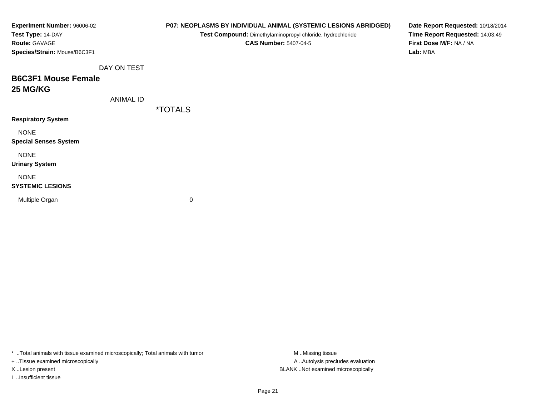| Experiment Number: 96006-02  |                  | P07: NEOPLASMS BY INDIVIDUAL ANIMAL (SYSTEMIC LESIONS ABRIDGED) | Date Report Requested: 10/18/2014 |
|------------------------------|------------------|-----------------------------------------------------------------|-----------------------------------|
| Test Type: 14-DAY            |                  | Test Compound: Dimethylaminopropyl chloride, hydrochloride      | Time Report Requested: 14:03:49   |
| Route: GAVAGE                |                  | <b>CAS Number: 5407-04-5</b>                                    | First Dose M/F: NA / NA           |
| Species/Strain: Mouse/B6C3F1 |                  |                                                                 | Lab: MBA                          |
|                              | DAY ON TEST      |                                                                 |                                   |
| <b>B6C3F1 Mouse Female</b>   |                  |                                                                 |                                   |
| <b>25 MG/KG</b>              |                  |                                                                 |                                   |
|                              | <b>ANIMAL ID</b> |                                                                 |                                   |
|                              |                  | <i><b>*TOTALS</b></i>                                           |                                   |
| <b>Respiratory System</b>    |                  |                                                                 |                                   |
| <b>NONE</b>                  |                  |                                                                 |                                   |
| <b>Special Senses System</b> |                  |                                                                 |                                   |
| <b>NONE</b>                  |                  |                                                                 |                                   |
| <b>Urinary System</b>        |                  |                                                                 |                                   |
| <b>NONE</b>                  |                  |                                                                 |                                   |
| <b>SYSTEMIC LESIONS</b>      |                  |                                                                 |                                   |
| Multiple Organ               |                  | 0                                                               |                                   |
|                              |                  |                                                                 |                                   |
|                              |                  |                                                                 |                                   |

+ ..Tissue examined microscopically

I ..Insufficient tissue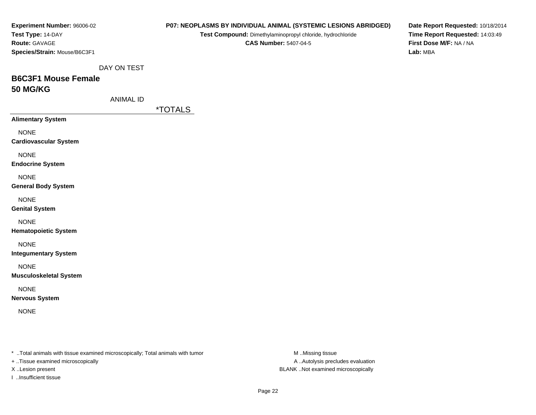| Experiment Number: 96006-02                                                    |                  |                       |                                                            |                              | P07: NEOPLASMS BY INDIVIDUAL ANIMAL (SYSTEMIC LESIONS ABRIDGED) | Date Report Requested: 10/18/2014 |
|--------------------------------------------------------------------------------|------------------|-----------------------|------------------------------------------------------------|------------------------------|-----------------------------------------------------------------|-----------------------------------|
| Test Type: 14-DAY                                                              |                  |                       | Test Compound: Dimethylaminopropyl chloride, hydrochloride |                              |                                                                 | Time Report Requested: 14:03:49   |
| Route: GAVAGE                                                                  |                  |                       |                                                            | <b>CAS Number: 5407-04-5</b> |                                                                 | First Dose M/F: NA / NA           |
| Species/Strain: Mouse/B6C3F1                                                   |                  |                       |                                                            |                              |                                                                 | Lab: MBA                          |
|                                                                                |                  |                       |                                                            |                              |                                                                 |                                   |
|                                                                                | DAY ON TEST      |                       |                                                            |                              |                                                                 |                                   |
| <b>B6C3F1 Mouse Female</b>                                                     |                  |                       |                                                            |                              |                                                                 |                                   |
| <b>50 MG/KG</b>                                                                |                  |                       |                                                            |                              |                                                                 |                                   |
|                                                                                | <b>ANIMAL ID</b> |                       |                                                            |                              |                                                                 |                                   |
|                                                                                |                  | <i><b>*TOTALS</b></i> |                                                            |                              |                                                                 |                                   |
| <b>Alimentary System</b>                                                       |                  |                       |                                                            |                              |                                                                 |                                   |
|                                                                                |                  |                       |                                                            |                              |                                                                 |                                   |
| <b>NONE</b>                                                                    |                  |                       |                                                            |                              |                                                                 |                                   |
| <b>Cardiovascular System</b>                                                   |                  |                       |                                                            |                              |                                                                 |                                   |
| <b>NONE</b>                                                                    |                  |                       |                                                            |                              |                                                                 |                                   |
| <b>Endocrine System</b>                                                        |                  |                       |                                                            |                              |                                                                 |                                   |
|                                                                                |                  |                       |                                                            |                              |                                                                 |                                   |
| <b>NONE</b>                                                                    |                  |                       |                                                            |                              |                                                                 |                                   |
| <b>General Body System</b>                                                     |                  |                       |                                                            |                              |                                                                 |                                   |
| <b>NONE</b>                                                                    |                  |                       |                                                            |                              |                                                                 |                                   |
| <b>Genital System</b>                                                          |                  |                       |                                                            |                              |                                                                 |                                   |
| <b>NONE</b>                                                                    |                  |                       |                                                            |                              |                                                                 |                                   |
| <b>Hematopoietic System</b>                                                    |                  |                       |                                                            |                              |                                                                 |                                   |
|                                                                                |                  |                       |                                                            |                              |                                                                 |                                   |
| <b>NONE</b>                                                                    |                  |                       |                                                            |                              |                                                                 |                                   |
| <b>Integumentary System</b>                                                    |                  |                       |                                                            |                              |                                                                 |                                   |
| <b>NONE</b>                                                                    |                  |                       |                                                            |                              |                                                                 |                                   |
| <b>Musculoskeletal System</b>                                                  |                  |                       |                                                            |                              |                                                                 |                                   |
|                                                                                |                  |                       |                                                            |                              |                                                                 |                                   |
| <b>NONE</b>                                                                    |                  |                       |                                                            |                              |                                                                 |                                   |
| <b>Nervous System</b>                                                          |                  |                       |                                                            |                              |                                                                 |                                   |
| <b>NONE</b>                                                                    |                  |                       |                                                            |                              |                                                                 |                                   |
|                                                                                |                  |                       |                                                            |                              |                                                                 |                                   |
|                                                                                |                  |                       |                                                            |                              |                                                                 |                                   |
|                                                                                |                  |                       |                                                            |                              |                                                                 |                                   |
| * Total animals with tissue examined microscopically; Total animals with tumor |                  |                       |                                                            |                              | M Missing tissue                                                |                                   |
| + Tissue examined microscopically                                              |                  |                       |                                                            |                              | A  Autolysis precludes evaluation                               |                                   |
| X Lesion present                                                               |                  |                       |                                                            |                              | BLANK Not examined microscopically                              |                                   |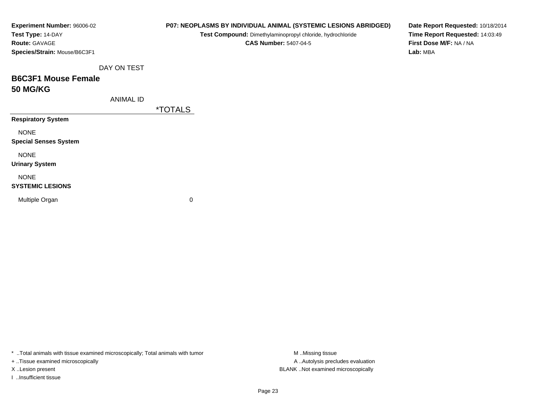| Experiment Number: 96006-02  |                  |                       | P07: NEOPLASMS BY INDIVIDUAL ANIMAL (SYSTEMIC LESIONS ABRIDGED) | Date Report Requested: 10/18/2014                          |
|------------------------------|------------------|-----------------------|-----------------------------------------------------------------|------------------------------------------------------------|
| Test Type: 14-DAY            |                  |                       | Test Compound: Dimethylaminopropyl chloride, hydrochloride      | Time Report Requested: 14:03:49<br>First Dose M/F: NA / NA |
| Route: GAVAGE                |                  |                       | <b>CAS Number: 5407-04-5</b>                                    |                                                            |
| Species/Strain: Mouse/B6C3F1 |                  |                       |                                                                 | Lab: MBA                                                   |
|                              | DAY ON TEST      |                       |                                                                 |                                                            |
| <b>B6C3F1 Mouse Female</b>   |                  |                       |                                                                 |                                                            |
| <b>50 MG/KG</b>              |                  |                       |                                                                 |                                                            |
|                              | <b>ANIMAL ID</b> |                       |                                                                 |                                                            |
|                              |                  | <i><b>*TOTALS</b></i> |                                                                 |                                                            |
| <b>Respiratory System</b>    |                  |                       |                                                                 |                                                            |
| <b>NONE</b>                  |                  |                       |                                                                 |                                                            |
| <b>Special Senses System</b> |                  |                       |                                                                 |                                                            |
| <b>NONE</b>                  |                  |                       |                                                                 |                                                            |
| <b>Urinary System</b>        |                  |                       |                                                                 |                                                            |
| <b>NONE</b>                  |                  |                       |                                                                 |                                                            |
| <b>SYSTEMIC LESIONS</b>      |                  |                       |                                                                 |                                                            |
| Multiple Organ               |                  | 0                     |                                                                 |                                                            |
|                              |                  |                       |                                                                 |                                                            |
|                              |                  |                       |                                                                 |                                                            |

+ ..Tissue examined microscopically

I ..Insufficient tissue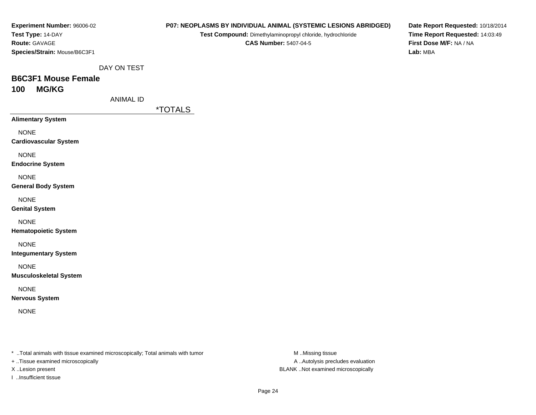| Experiment Number: 96006-02  |  |
|------------------------------|--|
| Test Type: 14-DAY            |  |
| <b>Route: GAVAGE</b>         |  |
| Species/Strain: Mouse/B6C3F1 |  |

**Test Compound:** Dimethylaminopropyl chloride, hydrochloride

**CAS Number:** 5407-04-5

**Date Report Requested:** 10/18/2014**Time Report Requested:** 14:03:49**First Dose M/F:** NA / NA**Lab:** MBA

DAY ON TEST

### **B6C3F1 Mouse Female100 MG/KG**

ANIMAL ID

\*TOTALS

**Alimentary System**

NONE

**Cardiovascular System**

NONE

**Endocrine System**

NONE

**General Body System**

NONE

**Genital System**

NONE

**Hematopoietic System**

NONE

**Integumentary System**

NONE

**Musculoskeletal System**

NONE

**Nervous System**

NONE

\* ..Total animals with tissue examined microscopically; Total animals with tumor **M** ..Missing tissue M ..Missing tissue

+ ..Tissue examined microscopically

I ..Insufficient tissue